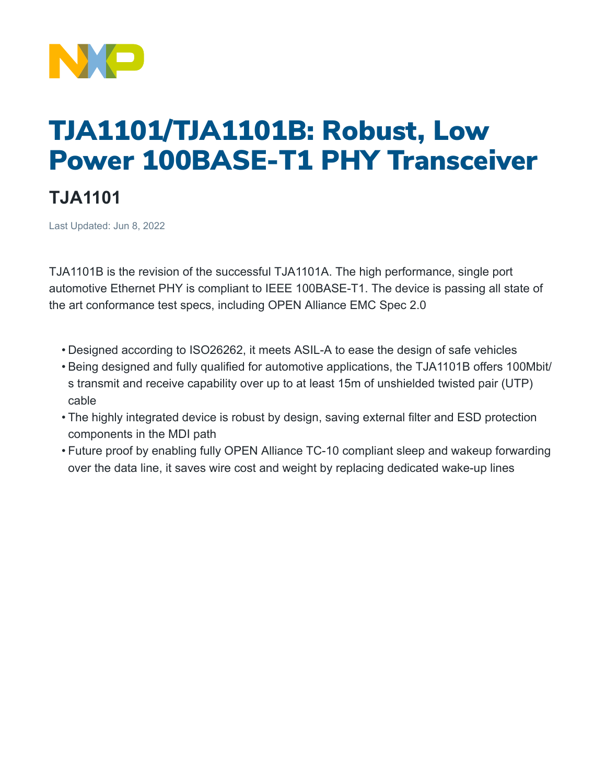

## TJA1101/TJA1101B: Robust, Low Power 100BASE-T1 PHY Transceiver

## **TJA1101**

Last Updated: Jun 8, 2022

TJA1101B is the revision of the successful TJA1101A. The high performance, single port automotive Ethernet PHY is compliant to IEEE 100BASE-T1. The device is passing all state of the art conformance test specs, including OPEN Alliance EMC Spec 2.0

- Designed according to ISO26262, it meets ASIL-A to ease the design of safe vehicles
- Being designed and fully qualified for automotive applications, the TJA1101B offers 100Mbit/ s transmit and receive capability over up to at least 15m of unshielded twisted pair (UTP) cable
- The highly integrated device is robust by design, saving external filter and ESD protection components in the MDI path
- Future proof by enabling fully OPEN Alliance TC-10 compliant sleep and wakeup forwarding over the data line, it saves wire cost and weight by replacing dedicated wake-up lines